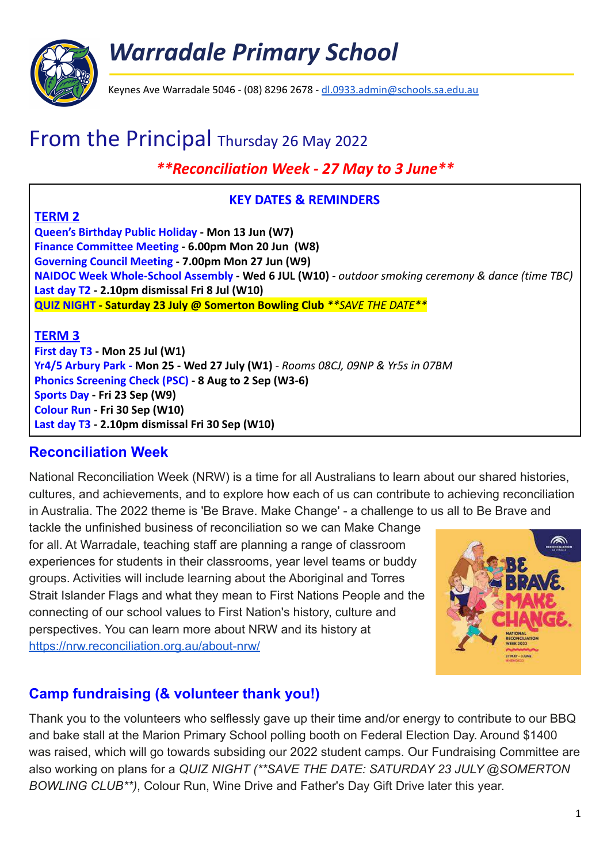# *Warradale Primary School*



Keynes Ave Warradale 5046 - (08) 8296 2678 - [dl.0933.admin@schools.sa.edu.au](mailto:dl.0933.admin@schools.sa.edu.au)

## From the Principal Thursday 26 May 2022

### *\*\*Reconciliation Week - 27 May to 3 June\*\**

#### **KEY DATES & REMINDERS**

#### **TERM 2**

**Queen's Birthday Public Holiday - Mon 13 Jun (W7) Finance Committee Meeting - 6.00pm Mon 20 Jun (W8) Governing Council Meeting - 7.00pm Mon 27 Jun (W9) NAIDOC Week Whole-School Assembly - Wed 6 JUL (W10)** *- outdoor smoking ceremony & dance (time TBC)* **Last day T2 - 2.10pm dismissal Fri 8 Jul (W10) QUIZ NIGHT - Saturday 23 July @ Somerton Bowling Club** *\*\*SAVE THE DATE\*\**

#### **TERM 3**

**First day T3 - Mon 25 Jul (W1) Yr4/5 Arbury Park - Mon 25 - Wed 27 July (W1)** *- Rooms 08CJ, 09NP & Yr5s in 07BM* **Phonics Screening Check (PSC) - 8 Aug to 2 Sep (W3-6) Sports Day - Fri 23 Sep (W9) Colour Run - Fri 30 Sep (W10) Last day T3 - 2.10pm dismissal Fri 30 Sep (W10)**

#### **Reconciliation Week**

National Reconciliation Week (NRW) is a time for all Australians to learn about our shared histories, cultures, and achievements, and to explore how each of us can contribute to achieving reconciliation in Australia. The 2022 theme is 'Be Brave. Make Change' - a challenge to us all to Be Brave and

tackle the unfinished business of reconciliation so we can Make Change for all. At Warradale, teaching staff are planning a range of classroom experiences for students in their classrooms, year level teams or buddy groups. Activities will include learning about the Aboriginal and Torres Strait Islander Flags and what they mean to First Nations People and the connecting of our school values to First Nation's history, culture and perspectives. You can learn more about NRW and its history at <https://nrw.reconciliation.org.au/about-nrw/>



## **Camp fundraising (& volunteer thank you!)**

Thank you to the volunteers who selflessly gave up their time and/or energy to contribute to our BBQ and bake stall at the Marion Primary School polling booth on Federal Election Day. Around \$1400 was raised, which will go towards subsiding our 2022 student camps. Our Fundraising Committee are also working on plans for a *QUIZ NIGHT (\*\*SAVE THE DATE: SATURDAY 23 JULY @SOMERTON BOWLING CLUB\*\*)*, Colour Run, Wine Drive and Father's Day Gift Drive later this year.